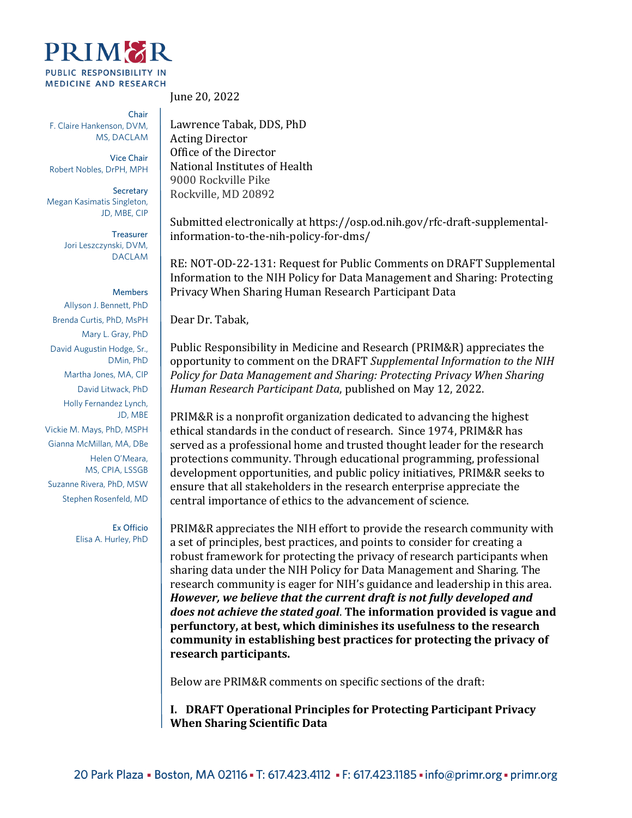

Chair F. Claire Hankenson, DVM, MS, DACLAM

Vice Chair Robert Nobles, DrPH, MPH

**Secretary** Megan Kasimatis Singleton, JD, MBE, CIP

> Treasurer Jori Leszczynski, DVM, DACLAM

## **Members**

Allyson J. Bennett, PhD Brenda Curtis, PhD, MsPH Mary L. Gray, PhD David Augustin Hodge, Sr., DMin, PhD Martha Jones, MA, CIP David Litwack, PhD Holly Fernandez Lynch, JD, MBE Vickie M. Mays, PhD, MSPH Gianna McMillan, MA, DBe Helen O'Meara, MS, CPIA, LSSGB Suzanne Rivera, PhD, MSW Stephen Rosenfeld, MD

> Ex Officio Elisa A. Hurley, PhD

June 20, 2022

Lawrence Tabak, DDS, PhD Acting Director Office of the Director National Institutes of Health 9000 Rockville Pike Rockville, MD 20892

Submitted electronically at https://osp.od.nih.gov/rfc-draft-supplementalinformation-to-the-nih-policy-for-dms/

RE: NOT-OD-22-131: Request for Public Comments on DRAFT Supplemental Information to the NIH Policy for Data Management and Sharing: Protecting Privacy When Sharing Human Research Participant Data

Dear Dr. Tabak,

Public Responsibility in Medicine and Research (PRIM&R) appreciates the opportunity to comment on the DRAFT *Supplemental Information to the NIH Policy for Data Management and Sharing: Protecting Privacy When Sharing Human Research Participant Data*, published on May 12, 2022.

PRIM&R is a nonprofit organization dedicated to advancing the highest ethical standards in the conduct of research. Since 1974, PRIM&R has served as a professional home and trusted thought leader for the research protections community. Through educational programming, professional development opportunities, and public policy initiatives, PRIM&R seeks to ensure that all stakeholders in the research enterprise appreciate the central importance of ethics to the advancement of science.

PRIM&R appreciates the NIH effort to provide the research community with a set of principles, best practices, and points to consider for creating a robust framework for protecting the privacy of research participants when sharing data under the NIH Policy for Data Management and Sharing. The research community is eager for NIH's guidance and leadership in this area. *However, we believe that the current draft is not fully developed and does not achieve the stated goal*. **The information provided is vague and perfunctory, at best, which diminishes its usefulness to the research community in establishing best practices for protecting the privacy of research participants.**

Below are PRIM&R comments on specific sections of the draft:

**I. DRAFT Operational Principles for Protecting Participant Privacy When Sharing Scientific Data**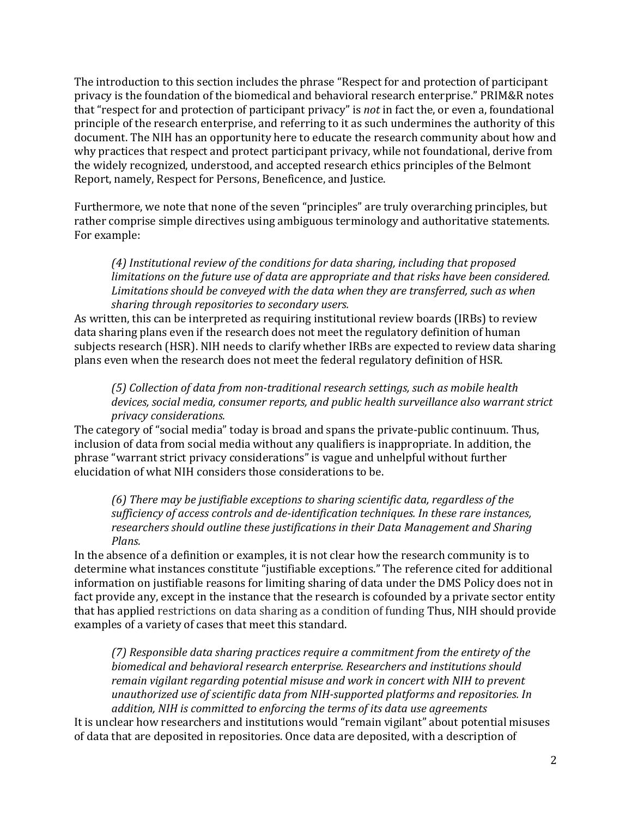The introduction to this section includes the phrase "Respect for and protection of participant privacy is the foundation of the biomedical and behavioral research enterprise." PRIM&R notes that "respect for and protection of participant privacy" is *not* in fact the, or even a, foundational principle of the research enterprise, and referring to it as such undermines the authority of this document. The NIH has an opportunity here to educate the research community about how and why practices that respect and protect participant privacy, while not foundational, derive from the widely recognized, understood, and accepted research ethics principles of the Belmont Report, namely, Respect for Persons, Beneficence, and Justice.

Furthermore, we note that none of the seven "principles" are truly overarching principles, but rather comprise simple directives using ambiguous terminology and authoritative statements. For example:

*(4) Institutional review of the conditions for data sharing, including that proposed limitations on the future use of data are appropriate and that risks have been considered. Limitations should be conveyed with the data when they are transferred, such as when sharing through repositories to secondary users.*

As written, this can be interpreted as requiring institutional review boards (IRBs) to review data sharing plans even if the research does not meet the regulatory definition of human subjects research (HSR). NIH needs to clarify whether IRBs are expected to review data sharing plans even when the research does not meet the federal regulatory definition of HSR.

*(5) Collection of data from non-traditional research settings, such as mobile health devices, social media, consumer reports, and public health surveillance also warrant strict privacy considerations.*

The category of "social media" today is broad and spans the private-public continuum. Thus, inclusion of data from social media without any qualifiers is inappropriate. In addition, the phrase "warrant strict privacy considerations" is vague and unhelpful without further elucidation of what NIH considers those considerations to be.

*(6) There may be justifiable exceptions to sharing scientific data, regardless of the sufficiency of access controls and de-identification techniques. In these rare instances, researchers should outline these justifications in their Data Management and Sharing Plans.*

In the absence of a definition or examples, it is not clear how the research community is to determine what instances constitute "justifiable exceptions." The reference cited for additional information on justifiable reasons for limiting sharing of data under the DMS Policy does not in fact provide any, except in the instance that the research is cofounded by a private sector entity that has applied restrictions on data sharing as a condition of funding Thus, NIH should provide examples of a variety of cases that meet this standard.

*(7) Responsible data sharing practices require a commitment from the entirety of the biomedical and behavioral research enterprise. Researchers and institutions should remain vigilant regarding potential misuse and work in concert with NIH to prevent unauthorized use of scientific data from NIH-supported platforms and repositories. In addition, NIH is committed to enforcing the terms of its data use agreements*

It is unclear how researchers and institutions would "remain vigilant" about potential misuses of data that are deposited in repositories. Once data are deposited, with a description of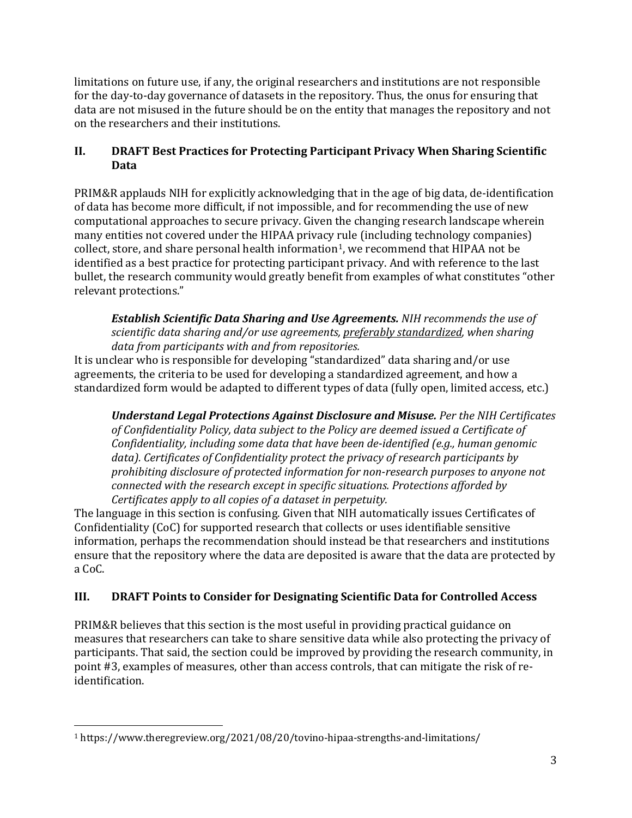limitations on future use, if any, the original researchers and institutions are not responsible for the day-to-day governance of datasets in the repository. Thus, the onus for ensuring that data are not misused in the future should be on the entity that manages the repository and not on the researchers and their institutions.

## **II. DRAFT Best Practices for Protecting Participant Privacy When Sharing Scientific Data**

PRIM&R applauds NIH for explicitly acknowledging that in the age of big data, de-identification of data has become more difficult, if not impossible, and for recommending the use of new computational approaches to secure privacy. Given the changing research landscape wherein many entities not covered under the HIPAA privacy rule (including technology companies) collect, store, and share personal health information<sup>[1](#page-2-0)</sup>, we recommend that HIPAA not be identified as a best practice for protecting participant privacy. And with reference to the last bullet, the research community would greatly benefit from examples of what constitutes "other relevant protections."

*Establish Scientific Data Sharing and Use Agreements. NIH recommends the use of scientific data sharing and/or use agreements, preferably standardized, when sharing data from participants with and from repositories.*

It is unclear who is responsible for developing "standardized" data sharing and/or use agreements, the criteria to be used for developing a standardized agreement, and how a standardized form would be adapted to different types of data (fully open, limited access, etc.)

*Understand Legal Protections Against Disclosure and Misuse. Per the NIH Certificates of Confidentiality Policy, data subject to the Policy are deemed issued a Certificate of Confidentiality, including some data that have been de-identified (e.g., human genomic data). Certificates of Confidentiality protect the privacy of research participants by prohibiting disclosure of protected information for non-research purposes to anyone not connected with the research except in specific situations. Protections afforded by Certificates apply to all copies of a dataset in perpetuity.*

The language in this section is confusing. Given that NIH automatically issues Certificates of Confidentiality (CoC) for supported research that collects or uses identifiable sensitive information, perhaps the recommendation should instead be that researchers and institutions ensure that the repository where the data are deposited is aware that the data are protected by a CoC.

## **III. DRAFT Points to Consider for Designating Scientific Data for Controlled Access**

PRIM&R believes that this section is the most useful in providing practical guidance on measures that researchers can take to share sensitive data while also protecting the privacy of participants. That said, the section could be improved by providing the research community, in point #3, examples of measures, other than access controls, that can mitigate the risk of reidentification.

<span id="page-2-0"></span><sup>1</sup> https://www.theregreview.org/2021/08/20/tovino-hipaa-strengths-and-limitations/